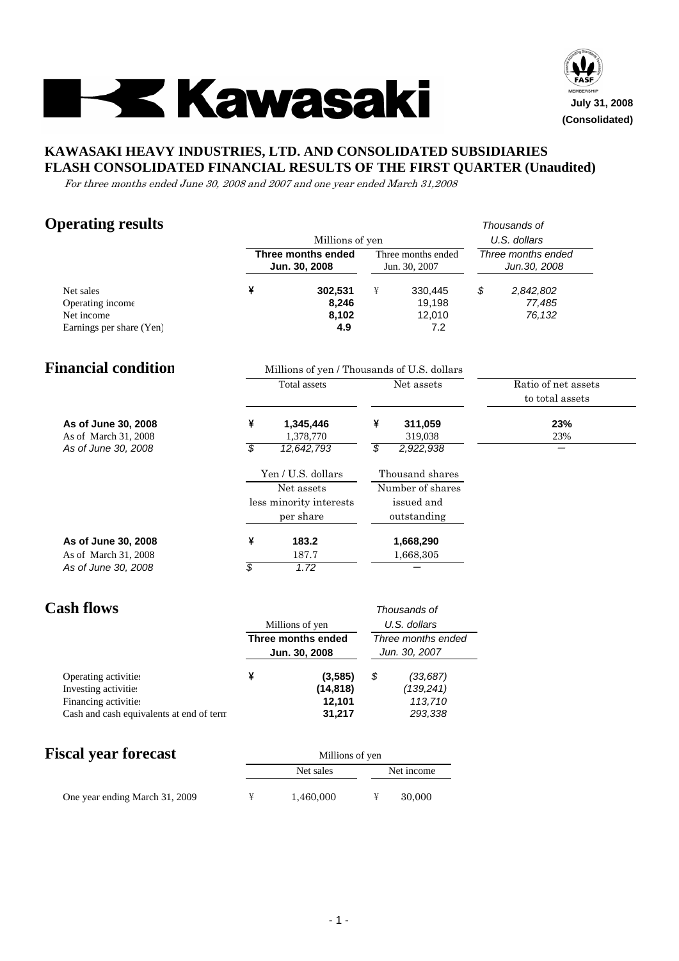



## **KAWASAKI HEAVY INDUSTRIES, LTD. AND CONSOLIDATED SUBSIDIARIES FLASH CONSOLIDATED FINANCIAL RESULTS OF THE FIRST QUARTER (Unaudited)**

For three months ended June 30, 2008 and 2007 and one year ended March 31,2008

# **Operating results** *Thousands of*

|                                                                         |                               | Millions of yen                                                          |         |                                                                  | U.S. dollars                           |
|-------------------------------------------------------------------------|-------------------------------|--------------------------------------------------------------------------|---------|------------------------------------------------------------------|----------------------------------------|
|                                                                         |                               | Three months ended<br>Jun. 30, 2008                                      |         | Three months ended<br>Jun. 30, 2007                              | Three months ended<br>Jun.30, 2008     |
| Net sales<br>Operating income<br>Net income<br>Earnings per share (Yen) | ¥                             | 302,531<br>8,246<br>8,102<br>4.9                                         | ¥       | 330,445<br>19,198<br>12,010<br>7.2                               | \$<br>2,842,802<br>77,485<br>76,132    |
| <b>Financial condition</b>                                              |                               | Millions of yen / Thousands of U.S. dollars                              |         |                                                                  |                                        |
|                                                                         |                               | <b>Total</b> assets                                                      |         | Net assets                                                       | Ratio of net assets<br>to total assets |
| As of June 30, 2008<br>As of March 31, 2008<br>As of June 30, 2008      | ¥<br>$\overline{\mathcal{S}}$ | 1,345,446<br>1,378,770<br>12,642,793                                     | ¥<br>\$ | 311,059<br>319,038<br>2,922,938                                  | 23%<br>23%                             |
|                                                                         |                               | Yen / U.S. dollars<br>Net assets<br>less minority interests<br>per share |         | Thousand shares<br>Number of shares<br>issued and<br>outstanding |                                        |
| As of June 30, 2008<br>As of March 31, 2008<br>As of June 30, 2008      | ¥<br>$\overline{\mathcal{S}}$ | 183.2<br>187.7<br>1.72                                                   |         | 1,668,290<br>1,668,305                                           |                                        |
| <b>Cash flows</b>                                                       |                               | Millions of yen                                                          |         | Thousands of<br>U.S. dollars                                     |                                        |
|                                                                         |                               | Three months ended<br>Jun. 30, 2008                                      |         | Three months ended<br>Jun. 30, 2007                              |                                        |
| Operating activities                                                    | ¥                             | (3, 585)                                                                 | \$      | (33, 687)                                                        |                                        |

|                                          | 19,9991   | ັ | 100,001   |
|------------------------------------------|-----------|---|-----------|
| Investing activities                     | (14, 818) |   | (139.241) |
| Financing activities                     | 12.101    |   | 113.710   |
| Cash and cash equivalents at end of term | 31.217    |   | 293,338   |

|  |  | <b>Fiscal year forecast</b> |  |
|--|--|-----------------------------|--|
|--|--|-----------------------------|--|

| <b>Fiscal year forecast</b>    | Millions of yen |           |  |            |  |  |  |
|--------------------------------|-----------------|-----------|--|------------|--|--|--|
|                                |                 | Net sales |  | Net income |  |  |  |
| One year ending March 31, 2009 |                 | 1,460,000 |  | 30,000     |  |  |  |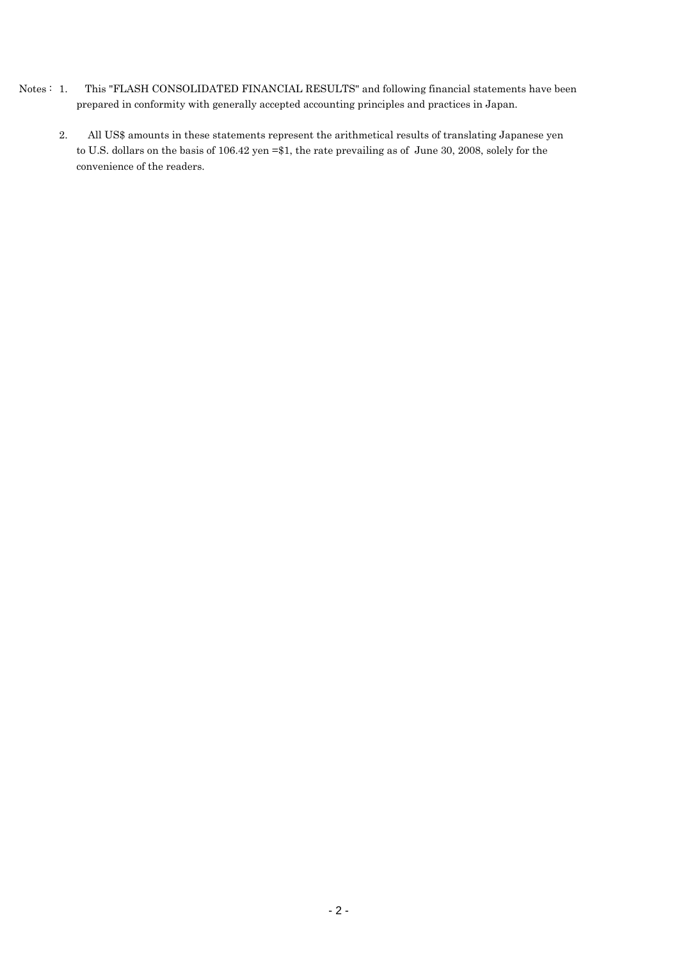- Notes : 1. This "FLASH CONSOLIDATED FINANCIAL RESULTS" and following financial statements have been prepared in conformity with generally accepted accounting principles and practices in Japan.
	- 2. All US\$ amounts in these statements represent the arithmetical results of translating Japanese yen to U.S. dollars on the basis of 106.42 yen =\$1, the rate prevailing as of June 30, 2008, solely for the convenience of the readers.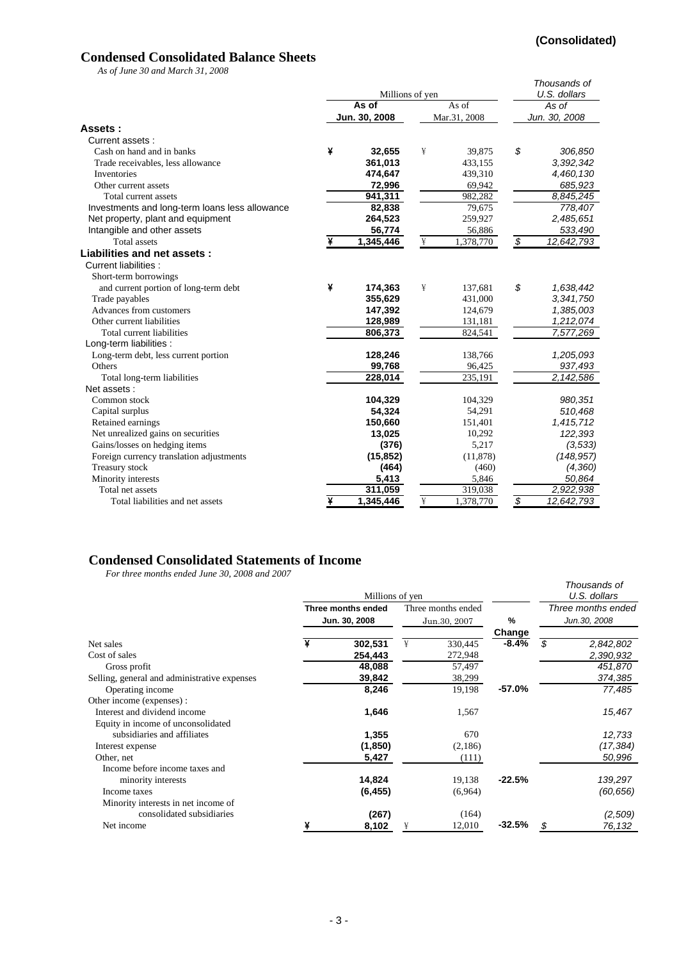## **(Consolidated)**

## **Condensed Consolidated Balance Sheets**

*As of June 30 and March 31, 2008*

| 113 01 June 90 and march 91, 2000              |   | Millions of yen      |   |              | Thousands of<br>U.S. dollars |                    |  |
|------------------------------------------------|---|----------------------|---|--------------|------------------------------|--------------------|--|
|                                                |   | As of                |   | As of        |                              | As of              |  |
|                                                |   | Jun. 30, 2008        |   | Mar.31, 2008 |                              | Jun. 30, 2008      |  |
| Assets:                                        |   |                      |   |              |                              |                    |  |
| Current assets:                                |   |                      |   |              |                              |                    |  |
| Cash on hand and in banks                      | ¥ | 32,655               | ¥ | 39,875       | \$                           | 306,850            |  |
| Trade receivables, less allowance              |   | 361,013              |   | 433,155      |                              | 3,392,342          |  |
| Inventories                                    |   | 474,647              |   | 439,310      |                              | 4,460,130          |  |
| Other current assets                           |   | 72,996               |   | 69,942       |                              | 685,923            |  |
| Total current assets                           |   | 941,311              |   | 982,282      |                              | 8,845,245          |  |
| Investments and long-term loans less allowance |   | 82,838               |   | 79,675       |                              | 778,407            |  |
| Net property, plant and equipment              |   | 264,523              |   | 259,927      |                              | 2,485,651          |  |
| Intangible and other assets                    |   | 56,774               |   | 56,886       |                              | 533,490            |  |
| <b>Total</b> assets                            | ¥ | 1,345,446            | ¥ | 1,378,770    | $\overline{\mathcal{S}}$     | 12,642,793         |  |
| Liabilities and net assets:                    |   |                      |   |              |                              |                    |  |
| Current liabilities :                          |   |                      |   |              |                              |                    |  |
| Short-term borrowings                          |   |                      |   |              |                              |                    |  |
| and current portion of long-term debt          | ¥ | 174,363              | ¥ | 137,681      | \$                           | 1,638,442          |  |
| Trade payables                                 |   | 355,629              |   | 431,000      |                              | 3,341,750          |  |
| Advances from customers                        |   | 147,392              |   | 124,679      |                              | 1,385,003          |  |
| Other current liabilities                      |   | 128,989              |   | 131,181      |                              | 1,212,074          |  |
| Total current liabilities                      |   | 806,373              |   | 824,541      |                              | 7,577,269          |  |
| Long-term liabilities :                        |   |                      |   |              |                              |                    |  |
| Long-term debt, less current portion           |   | 128,246              |   | 138,766      |                              | 1,205,093          |  |
| Others                                         |   | 99,768               |   | 96,425       |                              | 937,493            |  |
| Total long-term liabilities                    |   | $\overline{228,014}$ |   | 235,191      |                              | $\sqrt{2,142,586}$ |  |
| Net assets:                                    |   |                      |   |              |                              |                    |  |
| Common stock                                   |   | 104,329              |   | 104,329      |                              | 980,351            |  |
| Capital surplus                                |   | 54,324               |   | 54,291       |                              | 510,468            |  |
| Retained earnings                              |   | 150,660              |   | 151,401      |                              | 1,415,712          |  |
| Net unrealized gains on securities             |   | 13,025               |   | 10,292       |                              | 122,393            |  |
| Gains/losses on hedging items                  |   | (376)                |   | 5,217        |                              | (3, 533)           |  |
| Foreign currency translation adjustments       |   | (15, 852)            |   | (11, 878)    |                              | (148, 957)         |  |
| Treasury stock                                 |   | (464)                |   | (460)        |                              | (4, 360)           |  |
| Minority interests                             |   | 5,413                |   | 5,846        |                              | 50,864             |  |
| Total net assets                               |   | 311,059              |   | 319,038      |                              | 2,922,938          |  |
| Total liabilities and net assets               | ¥ | 1,345,446            | ¥ | 1,378,770    | \$                           | 12,642,793         |  |

## **Condensed Consolidated Statements of Income**

*For three months ended June 30, 2008 and 2007*

|                                              |   | Millions of yen    |   |                    |          |   | Thousands of<br>U.S. dollars |
|----------------------------------------------|---|--------------------|---|--------------------|----------|---|------------------------------|
|                                              |   | Three months ended |   | Three months ended |          |   | Three months ended           |
|                                              |   | Jun. 30, 2008      |   | Jun.30, 2007       | %        |   | Jun.30, 2008                 |
|                                              |   |                    |   |                    | Change   |   |                              |
| Net sales                                    |   | 302,531            | ¥ | 330,445            | $-8.4%$  | S | 2,842,802                    |
| Cost of sales                                |   | 254,443            |   | 272,948            |          |   | 2,390,932                    |
| Gross profit                                 |   | 48,088             |   | 57,497             |          |   | 451,870                      |
| Selling, general and administrative expenses |   | 39,842             |   | 38,299             |          |   | 374,385                      |
| Operating income                             |   | 8,246              |   | 19,198             | $-57.0%$ |   | 77,485                       |
| Other income (expenses):                     |   |                    |   |                    |          |   |                              |
| Interest and dividend income                 |   | 1,646              |   | 1,567              |          |   | 15,467                       |
| Equity in income of unconsolidated           |   |                    |   |                    |          |   |                              |
| subsidiaries and affiliates                  |   | 1,355              |   | 670                |          |   | 12,733                       |
| Interest expense                             |   | (1,850)            |   | (2,186)            |          |   | (17, 384)                    |
| Other, net                                   |   | 5,427              |   | (111)              |          |   | 50,996                       |
| Income before income taxes and               |   |                    |   |                    |          |   |                              |
| minority interests                           |   | 14,824             |   | 19,138             | $-22.5%$ |   | 139,297                      |
| Income taxes                                 |   | (6, 455)           |   | (6,964)            |          |   | (60, 656)                    |
| Minority interests in net income of          |   |                    |   |                    |          |   |                              |
| consolidated subsidiaries                    |   | (267)              |   | (164)              |          |   | (2,509)                      |
| Net income                                   | ¥ | 8,102              | ¥ | 12,010             | $-32.5%$ | S | 76,132                       |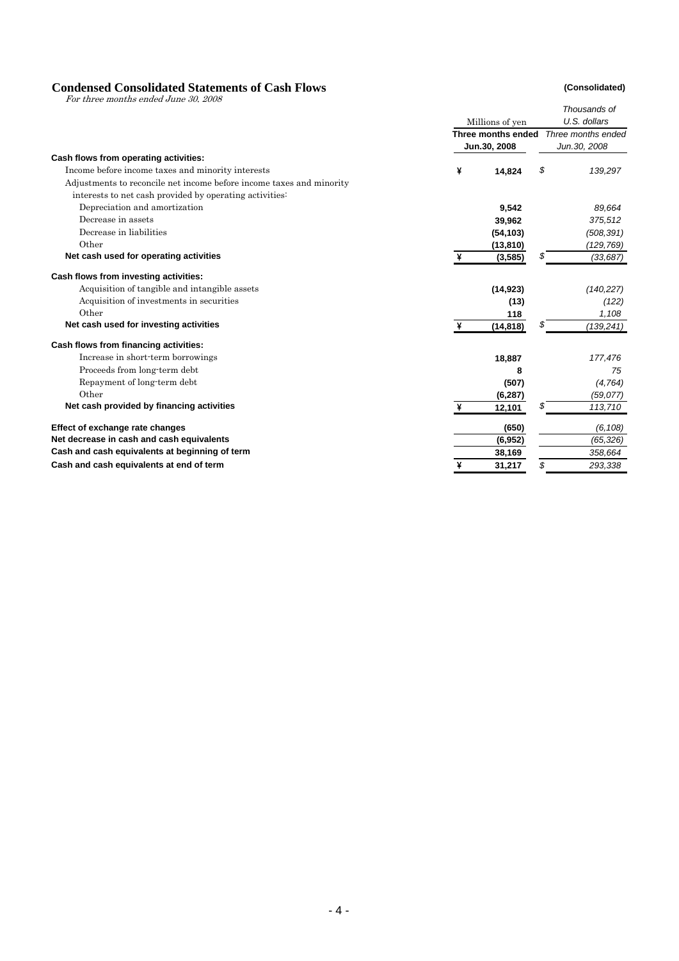# **Condensed Consolidated Statements of Cash Flows** (Consolidated)<br>
For three months ended June 30, 2008

|                                                                      |   |                    |    | Thousands of       |
|----------------------------------------------------------------------|---|--------------------|----|--------------------|
|                                                                      |   | Millions of yen    |    | U.S. dollars       |
|                                                                      |   | Three months ended |    | Three months ended |
|                                                                      |   | Jun.30, 2008       |    | Jun.30, 2008       |
| Cash flows from operating activities:                                |   |                    |    |                    |
| Income before income taxes and minority interests                    | ¥ | 14,824             | \$ | 139,297            |
| Adjustments to reconcile net income before income taxes and minority |   |                    |    |                    |
| interests to net cash provided by operating activities.              |   |                    |    |                    |
| Depreciation and amortization                                        |   | 9,542              |    | 89,664             |
| Decrease in assets                                                   |   | 39,962             |    | 375,512            |
| Decrease in liabilities                                              |   | (54, 103)          |    | (508, 391)         |
| Other                                                                |   | (13, 810)          |    | (129, 769)         |
| Net cash used for operating activities                               | ¥ | (3, 585)           | \$ | (33, 687)          |
| Cash flows from investing activities:                                |   |                    |    |                    |
| Acquisition of tangible and intangible assets                        |   | (14, 923)          |    | (140, 227)         |
| Acquisition of investments in securities                             |   | (13)               |    | (122)              |
| Other                                                                |   | 118                |    | 1,108              |
| Net cash used for investing activities                               |   | (14, 818)          |    | (139,241)          |
| Cash flows from financing activities:                                |   |                    |    |                    |
| Increase in short-term borrowings                                    |   | 18,887             |    | 177,476            |
| Proceeds from long-term debt                                         |   | 8                  |    | 75                 |
| Repayment of long-term debt                                          |   | (507)              |    | (4,764)            |
| Other                                                                |   | (6, 287)           |    | (59, 077)          |
| Net cash provided by financing activities                            | ¥ | 12,101             | S  | 113,710            |
| Effect of exchange rate changes                                      |   | (650)              |    | (6, 108)           |
| Net decrease in cash and cash equivalents                            |   | (6, 952)           |    | (65, 326)          |
| Cash and cash equivalents at beginning of term                       |   | 38,169             |    | 358,664            |
| Cash and cash equivalents at end of term                             | ¥ | 31,217             | \$ | 293,338            |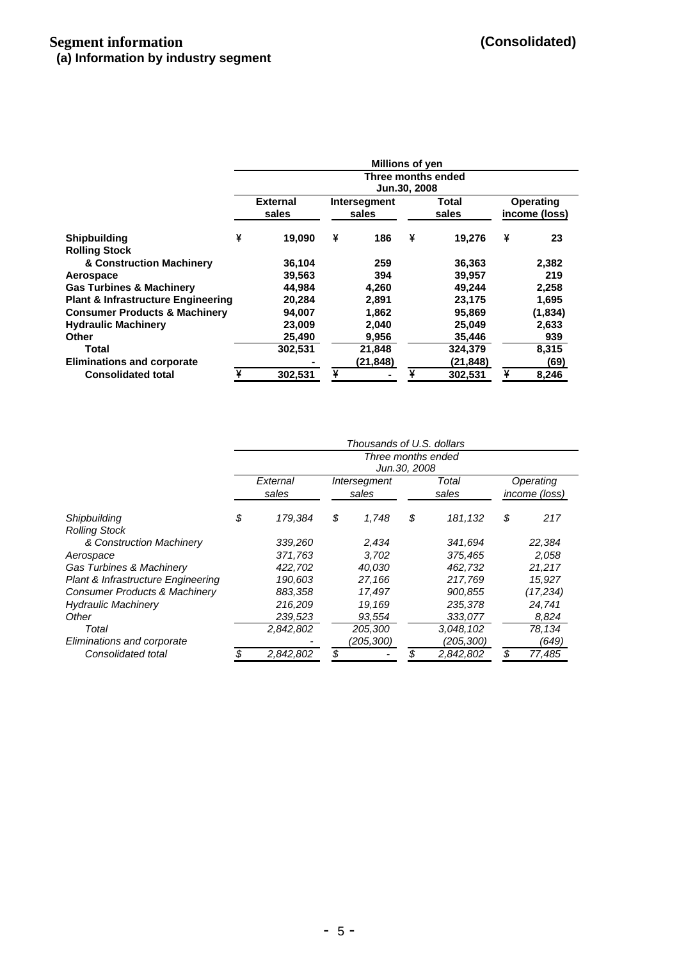|                                                  |   |                                    |   | <b>Millions of yen</b> |   |                |   |                                   |  |  |  |  |
|--------------------------------------------------|---|------------------------------------|---|------------------------|---|----------------|---|-----------------------------------|--|--|--|--|
|                                                  |   | Three months ended<br>Jun.30, 2008 |   |                        |   |                |   |                                   |  |  |  |  |
|                                                  |   | <b>External</b><br>sales           |   | Intersegment<br>sales  |   | Total<br>sales |   | <b>Operating</b><br>income (loss) |  |  |  |  |
| <b>Shipbuilding</b>                              | ¥ | 19.090                             | ¥ | 186                    | ¥ | 19.276         | ¥ | 23                                |  |  |  |  |
| <b>Rolling Stock</b><br>& Construction Machinery |   | 36,104                             |   | 259                    |   | 36,363         |   | 2,382                             |  |  |  |  |
| Aerospace                                        |   | 39,563                             |   | 394                    |   | 39,957         |   | 219                               |  |  |  |  |
| <b>Gas Turbines &amp; Machinery</b>              |   | 44.984                             |   | 4,260                  |   | 49,244         |   | 2,258                             |  |  |  |  |
| <b>Plant &amp; Infrastructure Engineering</b>    |   | 20,284                             |   | 2.891                  |   | 23,175         |   | 1,695                             |  |  |  |  |
| <b>Consumer Products &amp; Machinery</b>         |   | 94,007                             |   | 1,862                  |   | 95,869         |   | (1,834)                           |  |  |  |  |
| <b>Hydraulic Machinery</b>                       |   | 23,009                             |   | 2,040                  |   | 25,049         |   | 2,633                             |  |  |  |  |
| Other                                            |   | 25,490                             |   | 9,956                  |   | 35,446         |   | 939                               |  |  |  |  |
| Total                                            |   | 302,531                            |   | 21,848                 |   | 324,379        |   | 8,315                             |  |  |  |  |
| <b>Eliminations and corporate</b>                |   |                                    |   | (21,848)               |   | (21, 848)      |   | (69)                              |  |  |  |  |
| <b>Consolidated total</b>                        |   | 302,531                            | ¥ |                        | ¥ | 302,531        | ¥ | 8,246                             |  |  |  |  |

|                                          |                                    |    | Thousands of U.S. dollars |    |                |    |                            |  |  |  |
|------------------------------------------|------------------------------------|----|---------------------------|----|----------------|----|----------------------------|--|--|--|
|                                          | Three months ended<br>Jun.30, 2008 |    |                           |    |                |    |                            |  |  |  |
|                                          | External<br>sales                  |    | Intersegment<br>sales     |    | Total<br>sales |    | Operating<br>income (loss) |  |  |  |
| Shipbuilding<br><b>Rolling Stock</b>     | \$<br>179,384                      | \$ | 1,748                     | \$ | 181,132        | \$ | 217                        |  |  |  |
| & Construction Machinery                 | 339,260                            |    | 2,434                     |    | 341,694        |    | 22,384                     |  |  |  |
| Aerospace                                | 371.763                            |    | 3.702                     |    | 375,465        |    | 2,058                      |  |  |  |
| <b>Gas Turbines &amp; Machinery</b>      | 422,702                            |    | 40,030                    |    | 462,732        |    | 21,217                     |  |  |  |
| Plant & Infrastructure Engineering       | 190.603                            |    | 27,166                    |    | 217.769        |    | 15.927                     |  |  |  |
| <b>Consumer Products &amp; Machinery</b> | 883,358                            |    | 17,497                    |    | 900,855        |    | (17,234)                   |  |  |  |
| <b>Hydraulic Machinery</b>               | 216,209                            |    | 19.169                    |    | 235,378        |    | 24,741                     |  |  |  |
| Other                                    | 239,523                            |    | 93,554                    |    | 333,077        |    | 8,824                      |  |  |  |
| Total                                    | 2,842,802                          |    | 205,300                   |    | 3,048,102      |    | 78,134                     |  |  |  |
| Eliminations and corporate               |                                    |    | (205,300)                 |    | (205, 300)     |    | (649)                      |  |  |  |
| Consolidated total                       | 2,842,802                          |    |                           |    | 2,842,802      | \$ | 77,485                     |  |  |  |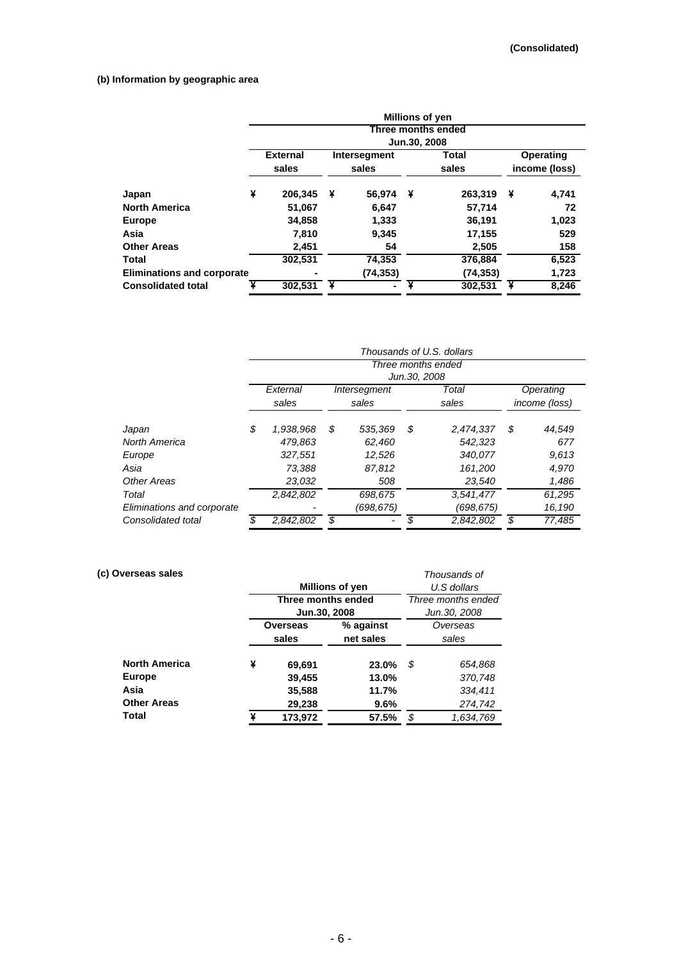## **(b) Information by geographic area**

|                                   | <b>Millions of yen</b> |                                    |   |                |   |           |   |                  |  |  |  |  |
|-----------------------------------|------------------------|------------------------------------|---|----------------|---|-----------|---|------------------|--|--|--|--|
|                                   |                        | Three months ended<br>Jun.30, 2008 |   |                |   |           |   |                  |  |  |  |  |
|                                   |                        |                                    |   |                |   |           |   |                  |  |  |  |  |
|                                   |                        | <b>External</b>                    |   | Intersegment   |   | Total     |   | <b>Operating</b> |  |  |  |  |
|                                   |                        | sales                              |   | sales          |   | sales     |   | income (loss)    |  |  |  |  |
| Japan                             | ¥                      | 206,345                            | ¥ | 56,974         | ¥ | 263,319   | ¥ | 4,741            |  |  |  |  |
| <b>North America</b>              |                        | 51,067                             |   | 6.647          |   | 57,714    |   | 72               |  |  |  |  |
| <b>Europe</b>                     |                        | 34,858                             |   | 1,333          |   | 36,191    |   | 1,023            |  |  |  |  |
| Asia                              |                        | 7,810                              |   | 9,345          |   | 17,155    |   | 529              |  |  |  |  |
| <b>Other Areas</b>                |                        | 2,451                              |   | 54             |   | 2,505     |   | 158              |  |  |  |  |
| Total                             |                        | 302,531                            |   | 74,353         |   | 376,884   |   | 6,523            |  |  |  |  |
| <b>Eliminations and corporate</b> |                        |                                    |   | (74,353)       |   | (74, 353) |   | 1,723            |  |  |  |  |
| <b>Consolidated total</b>         |                        | 302,531                            | ¥ | $\blacksquare$ |   | 302,531   |   | 8,246            |  |  |  |  |

|                            | Thousands of U.S. dollars |                                     |       |              |       |           |               |        |  |  |  |  |
|----------------------------|---------------------------|-------------------------------------|-------|--------------|-------|-----------|---------------|--------|--|--|--|--|
|                            |                           | Three months ended<br>Jun. 30, 2008 |       |              |       |           |               |        |  |  |  |  |
|                            |                           |                                     |       |              |       |           |               |        |  |  |  |  |
|                            |                           | External                            |       | Intersegment |       | Total     | Operating     |        |  |  |  |  |
|                            |                           | sales                               | sales |              | sales |           | income (loss) |        |  |  |  |  |
| Japan                      | \$                        | 1,938,968                           | \$    | 535,369      | \$    | 2,474,337 | \$            | 44,549 |  |  |  |  |
| North America              |                           | 479.863                             |       | 62,460       |       | 542,323   |               | 677    |  |  |  |  |
| Europe                     |                           | 327,551                             |       | 12,526       |       | 340,077   |               | 9,613  |  |  |  |  |
| Asia                       |                           | 73.388                              |       | 87.812       |       | 161.200   |               | 4.970  |  |  |  |  |
| Other Areas                |                           | 23.032                              |       | 508          |       | 23,540    |               | 1,486  |  |  |  |  |
| Total                      |                           | 2,842,802                           |       | 698,675      |       | 3,541,477 |               | 61,295 |  |  |  |  |
| Eliminations and corporate |                           |                                     |       | (698,675)    |       | (698,675) |               | 16,190 |  |  |  |  |
| Consolidated total         |                           | 2,842,802                           | \$    |              | \$    | 2,842,802 |               | 77,485 |  |  |  |  |

## **(c) Overseas sales** *Thousands of*

|                      |   | Millions of yen    | U.S dollars        |                   |              |  |  |
|----------------------|---|--------------------|--------------------|-------------------|--------------|--|--|
|                      |   | Three months ended | Three months ended |                   |              |  |  |
|                      |   | Jun.30, 2008       |                    |                   | Jun.30, 2008 |  |  |
|                      |   | Overseas           | % against          | Overseas<br>sales |              |  |  |
|                      |   | sales              | net sales          |                   |              |  |  |
|                      |   |                    |                    |                   |              |  |  |
| <b>North America</b> | ¥ | 69,691             | 23.0%              | S                 | 654,868      |  |  |
| <b>Europe</b>        |   | 39,455             | 13.0%              |                   | 370,748      |  |  |
| Asia                 |   | 35,588             | 11.7%              |                   | 334,411      |  |  |
| <b>Other Areas</b>   |   | 29,238             | 9.6%               |                   | 274,742      |  |  |
| Total                | ¥ | 173,972            | 57.5%              | \$                | 1,634,769    |  |  |